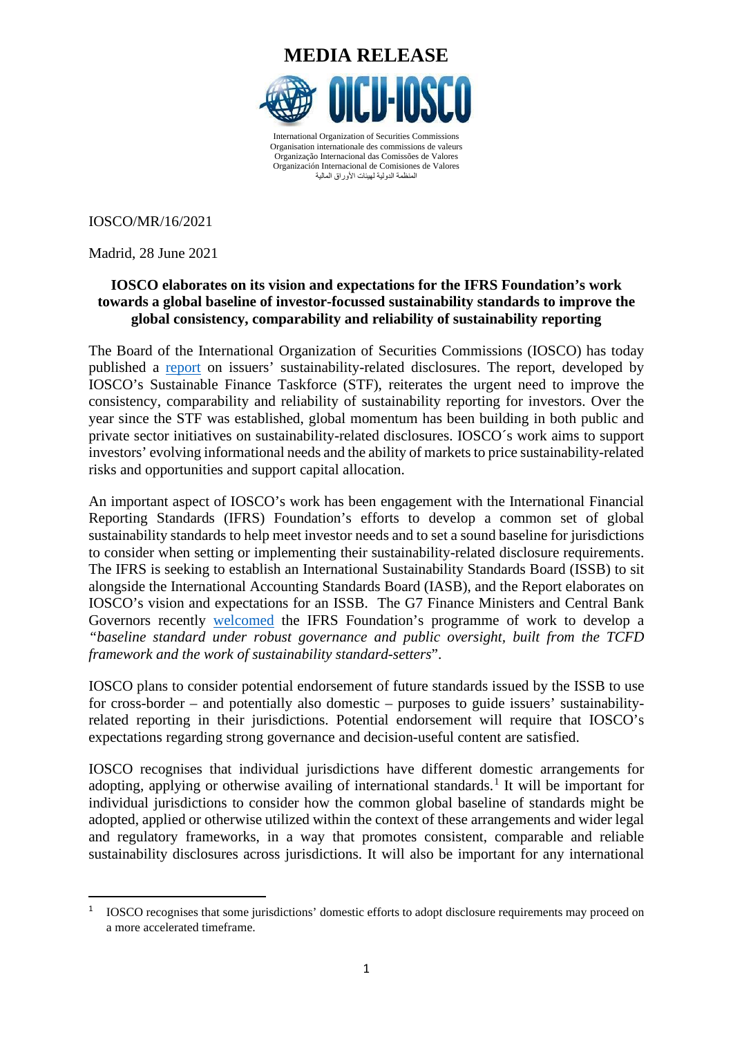

المنظمة الدولیة لمهیئات الأوراق المالیة

IOSCO/MR/16/2021

Madrid, 28 June 2021

### **IOSCO elaborates on its vision and expectations for the IFRS Foundation's work towards a global baseline of investor-focussed sustainability standards to improve the global consistency, comparability and reliability of sustainability reporting**

The Board of the International Organization of Securities Commissions (IOSCO) has today published a [report](https://www.iosco.org/library/pubdocs/pdf/IOSCOPD678.pdf) on issuers' sustainability-related disclosures. The report, developed by IOSCO's Sustainable Finance Taskforce (STF), reiterates the urgent need to improve the consistency, comparability and reliability of sustainability reporting for investors. Over the year since the STF was established, global momentum has been building in both public and private sector initiatives on sustainability-related disclosures. IOSCO´s work aims to support investors' evolving informational needs and the ability of markets to price sustainability-related risks and opportunities and support capital allocation.

An important aspect of IOSCO's work has been engagement with the International Financial Reporting Standards (IFRS) Foundation's efforts to develop a common set of global sustainability standards to help meet investor needs and to set a sound baseline for jurisdictions to consider when setting or implementing their sustainability-related disclosure requirements. The IFRS is seeking to establish an International Sustainability Standards Board (ISSB) to sit alongside the International Accounting Standards Board (IASB), and the Report elaborates on IOSCO's vision and expectations for an ISSB. The G7 Finance Ministers and Central Bank Governors recently [welcomed](https://www.gov.uk/government/publications/g7-finance-ministers-meeting-june-2021-communique/g7-finance-ministers-and-central-bank-governors-communique) the IFRS Foundation's programme of work to develop a *"baseline standard under robust governance and public oversight, built from the TCFD framework and the work of sustainability standard-setters*".

IOSCO plans to consider potential endorsement of future standards issued by the ISSB to use for cross-border – and potentially also domestic – purposes to guide issuers' sustainabilityrelated reporting in their jurisdictions. Potential endorsement will require that IOSCO's expectations regarding strong governance and decision-useful content are satisfied.

IOSCO recognises that individual jurisdictions have different domestic arrangements for adopting, applying or otherwise availing of international standards.<sup>[1](#page-0-0)</sup> It will be important for individual jurisdictions to consider how the common global baseline of standards might be adopted, applied or otherwise utilized within the context of these arrangements and wider legal and regulatory frameworks, in a way that promotes consistent, comparable and reliable sustainability disclosures across jurisdictions. It will also be important for any international

<span id="page-0-0"></span><sup>1</sup> IOSCO recognises that some jurisdictions' domestic efforts to adopt disclosure requirements may proceed on a more accelerated timeframe.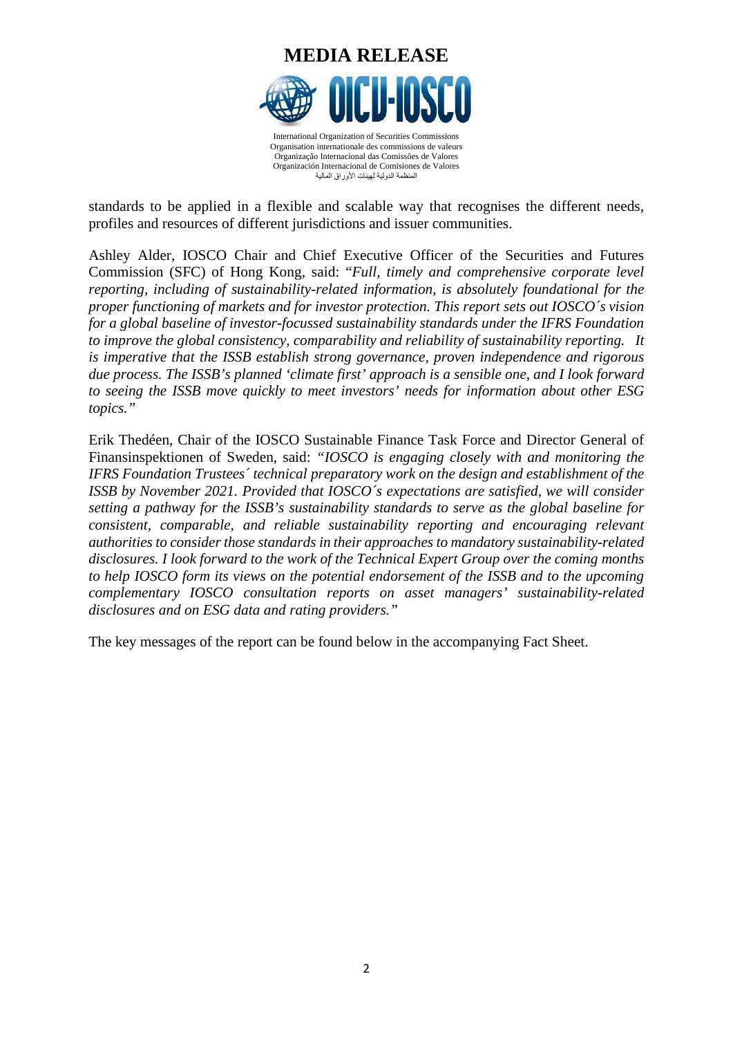

standards to be applied in a flexible and scalable way that recognises the different needs, profiles and resources of different jurisdictions and issuer communities.

Ashley Alder, IOSCO Chair and Chief Executive Officer of the Securities and Futures Commission (SFC) of Hong Kong, said: "*Full, timely and comprehensive corporate level reporting, including of sustainability-related information, is absolutely foundational for the proper functioning of markets and for investor protection. This report sets out IOSCO´s vision for a global baseline of investor-focussed sustainability standards under the IFRS Foundation to improve the global consistency, comparability and reliability of sustainability reporting. It is imperative that the ISSB establish strong governance, proven independence and rigorous due process. The ISSB's planned 'climate first' approach is a sensible one, and I look forward to seeing the ISSB move quickly to meet investors' needs for information about other ESG topics."* 

Erik Thedéen, Chair of the IOSCO Sustainable Finance Task Force and Director General of Finansinspektionen of Sweden, said: *"IOSCO is engaging closely with and monitoring the IFRS Foundation Trustees´ technical preparatory work on the design and establishment of the ISSB by November 2021. Provided that IOSCO´s expectations are satisfied, we will consider setting a pathway for the ISSB's sustainability standards to serve as the global baseline for consistent, comparable, and reliable sustainability reporting and encouraging relevant authorities to consider those standards in their approaches to mandatory sustainability-related disclosures. I look forward to the work of the Technical Expert Group over the coming months to help IOSCO form its views on the potential endorsement of the ISSB and to the upcoming complementary IOSCO consultation reports on asset managers' sustainability-related disclosures and on ESG data and rating providers."*

The key messages of the report can be found below in the accompanying Fact Sheet.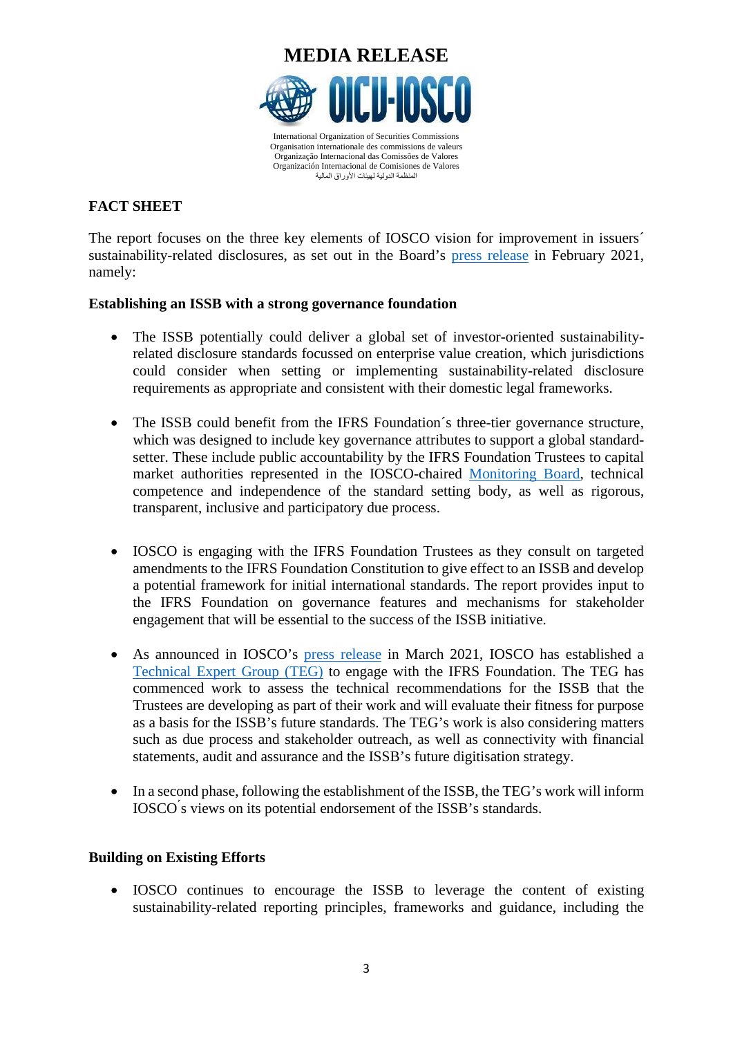

# **FACT SHEET**

The report focuses on the three key elements of IOSCO vision for improvement in issuers´ sustainability-related disclosures, as set out in the Board's [press release](https://www.iosco.org/news/pdf/IOSCONEWS594.pdf) in February 2021, namely:

## **Establishing an ISSB with a strong governance foundation**

- The ISSB potentially could deliver a global set of investor-oriented sustainabilityrelated disclosure standards focussed on enterprise value creation, which jurisdictions could consider when setting or implementing sustainability-related disclosure requirements as appropriate and consistent with their domestic legal frameworks.
- The ISSB could benefit from the IFRS Foundation's three-tier governance structure, which was designed to include key governance attributes to support a global standardsetter. These include public accountability by the IFRS Foundation Trustees to capital market authorities represented in the IOSCO-chaired [Monitoring Board,](https://www.iosco.org/about/?subsection=monitoring_board) technical competence and independence of the standard setting body, as well as rigorous, transparent, inclusive and participatory due process.
- IOSCO is engaging with the IFRS Foundation Trustees as they consult on targeted amendments to the IFRS Foundation Constitution to give effect to an ISSB and develop a potential framework for initial international standards. The report provides input to the IFRS Foundation on governance features and mechanisms for stakeholder engagement that will be essential to the success of the ISSB initiative.
- As announced in IOSCO's [press release](https://www.iosco.org/news/pdf/IOSCONEWS599.pdf) in March 2021, IOSCO has established a [Technical Expert Group \(TEG\)](https://www.iosco.org/news/pdf/IOSCONEWS599.pdf) to engage with the IFRS Foundation. The TEG has commenced work to assess the technical recommendations for the ISSB that the Trustees are developing as part of their work and will evaluate their fitness for purpose as a basis for the ISSB's future standards. The TEG's work is also considering matters such as due process and stakeholder outreach, as well as connectivity with financial statements, audit and assurance and the ISSB's future digitisation strategy.
- In a second phase, following the establishment of the ISSB, the TEG's work will inform IOSCO ́s views on its potential endorsement of the ISSB's standards.

## **Building on Existing Efforts**

• IOSCO continues to encourage the ISSB to leverage the content of existing sustainability-related reporting principles, frameworks and guidance, including the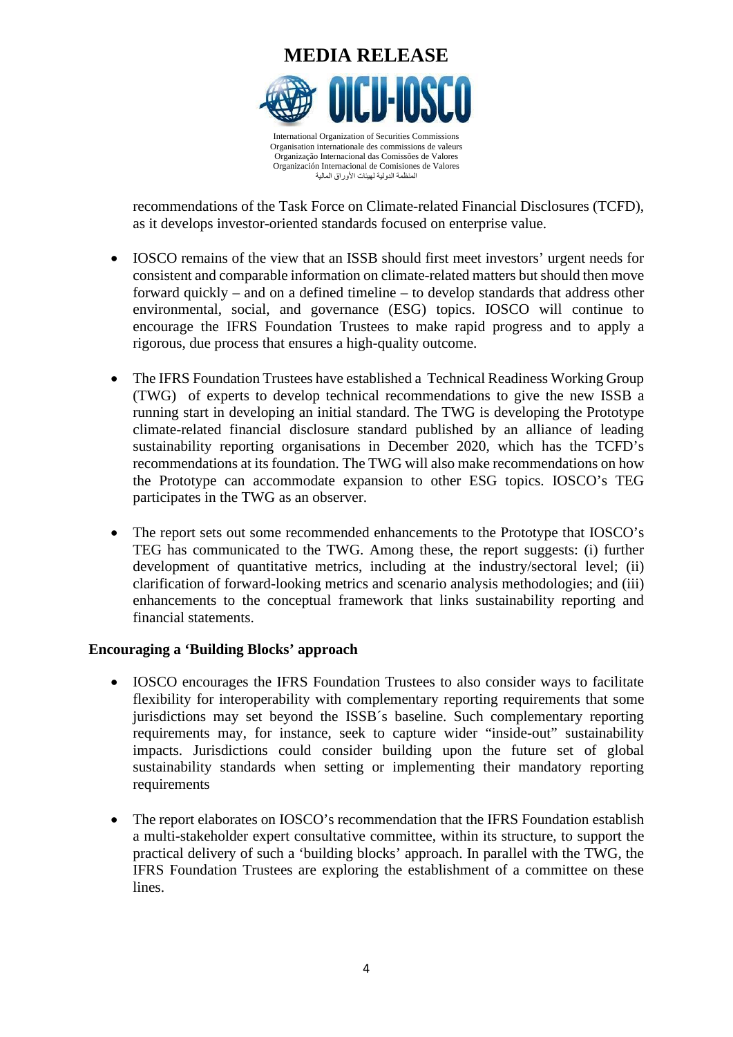

recommendations of the Task Force on Climate-related Financial Disclosures (TCFD), as it develops investor-oriented standards focused on enterprise value.

- IOSCO remains of the view that an ISSB should first meet investors' urgent needs for consistent and comparable information on climate-related matters but should then move forward quickly – and on a defined timeline – to develop standards that address other environmental, social, and governance (ESG) topics. IOSCO will continue to encourage the IFRS Foundation Trustees to make rapid progress and to apply a rigorous, due process that ensures a high-quality outcome.
- The IFRS Foundation Trustees have established a Technical Readiness Working Group [\(TWG\)](https://www.ifrs.org/news-and-events/news/2021/03/trustees-announce-working-group/) of experts to develop technical recommendations to give the new ISSB a running start in developing an initial standard. The TWG is developing the [Prototype](https://29kjwb3armds2g3gi4lq2sx1-wpengine.netdna-ssl.com/wp-content/uploads/Reporting-on-enterprise-value_climate-prototype_Dec20.pdf) climate-related financial disclosure standard published by an alliance of leading sustainability reporting organisations in December 2020, which has the TCFD's recommendations at its foundation. The TWG will also make recommendations on how the Prototype can accommodate expansion to other ESG topics. IOSCO's TEG participates in the TWG as an observer.
- The report sets out some recommended enhancements to the Prototype that IOSCO's TEG has communicated to the TWG. Among these, the report suggests: (i) further development of quantitative metrics, including at the industry/sectoral level; (ii) clarification of forward-looking metrics and scenario analysis methodologies; and (iii) enhancements to the conceptual framework that links sustainability reporting and financial statements.

#### **Encouraging a 'Building Blocks' approach**

- IOSCO encourages the IFRS Foundation Trustees to also consider ways to facilitate flexibility for interoperability with complementary reporting requirements that some jurisdictions may set beyond the ISSB´s baseline. Such complementary reporting requirements may, for instance, seek to capture wider "inside-out" sustainability impacts. Jurisdictions could consider building upon the future set of global sustainability standards when setting or implementing their mandatory reporting requirements
- The report elaborates on IOSCO's recommendation that the IFRS Foundation establish a multi-stakeholder expert consultative committee, within its structure, to support the practical delivery of such a 'building blocks' approach. In parallel with the TWG, the IFRS Foundation Trustees are exploring the establishment of a committee on these lines.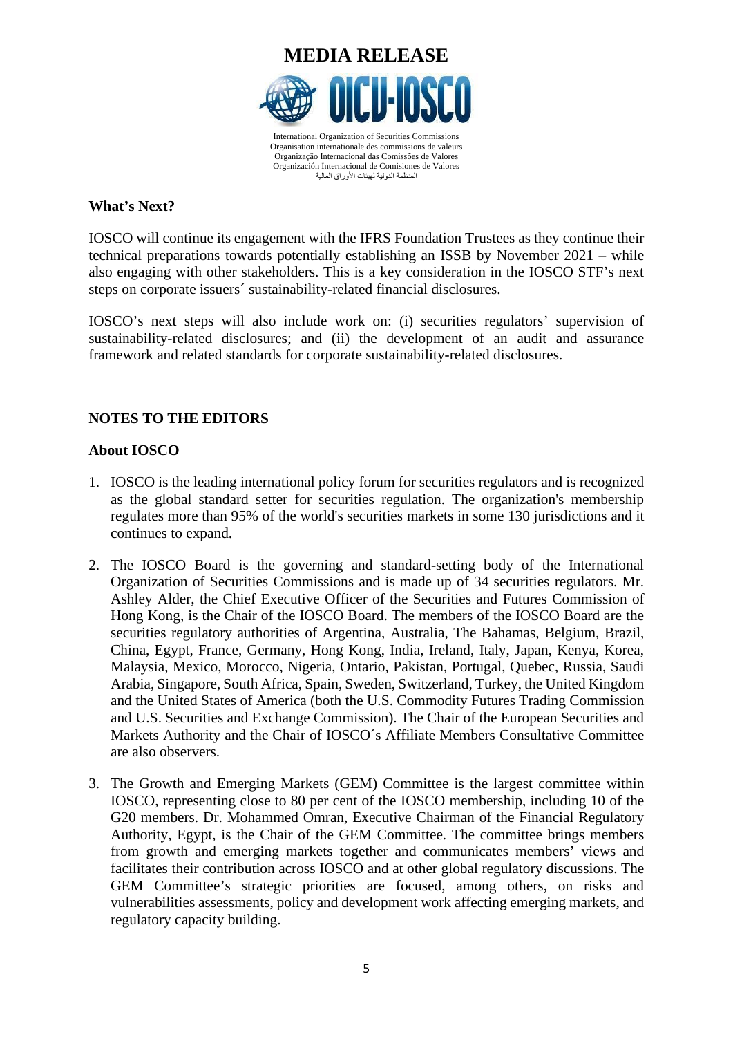

# **What's Next?**

IOSCO will continue its engagement with the IFRS Foundation Trustees as they continue their technical preparations towards potentially establishing an ISSB by November 2021 – while also engaging with other stakeholders. This is a key consideration in the IOSCO STF's next steps on corporate issuers´ sustainability-related financial disclosures.

IOSCO's next steps will also include work on: (i) securities regulators' supervision of sustainability-related disclosures; and (ii) the development of an audit and assurance framework and related standards for corporate sustainability-related disclosures.

# **NOTES TO THE EDITORS**

### **About IOSCO**

- 1. IOSCO is the leading international policy forum for securities regulators and is recognized as the global standard setter for securities regulation. The organization's membership regulates more than 95% of the world's securities markets in some 130 jurisdictions and it continues to expand.
- 2. The IOSCO Board is the governing and standard-setting body of the International Organization of Securities Commissions and is made up of 34 securities regulators. Mr. Ashley Alder, the Chief Executive Officer of the Securities and Futures Commission of Hong Kong, is the Chair of the IOSCO Board. The members of the IOSCO Board are the securities regulatory authorities of Argentina, Australia, The Bahamas, Belgium, Brazil, China, Egypt, France, Germany, Hong Kong, India, Ireland, Italy, Japan, Kenya, Korea, Malaysia, Mexico, Morocco, Nigeria, Ontario, Pakistan, Portugal, Quebec, Russia, Saudi Arabia, Singapore, South Africa, Spain, Sweden, Switzerland, Turkey, the United Kingdom and the United States of America (both the U.S. Commodity Futures Trading Commission and U.S. Securities and Exchange Commission). The Chair of the European Securities and Markets Authority and the Chair of IOSCO´s Affiliate Members Consultative Committee are also observers.
- 3. The Growth and Emerging Markets (GEM) Committee is the largest committee within IOSCO, representing close to 80 per cent of the IOSCO membership, including 10 of the G20 members. Dr. Mohammed Omran, Executive Chairman of the Financial Regulatory Authority, Egypt, is the Chair of the GEM Committee. The committee brings members from growth and emerging markets together and communicates members' views and facilitates their contribution across IOSCO and at other global regulatory discussions. The GEM Committee's strategic priorities are focused, among others, on risks and vulnerabilities assessments, policy and development work affecting emerging markets, and regulatory capacity building.